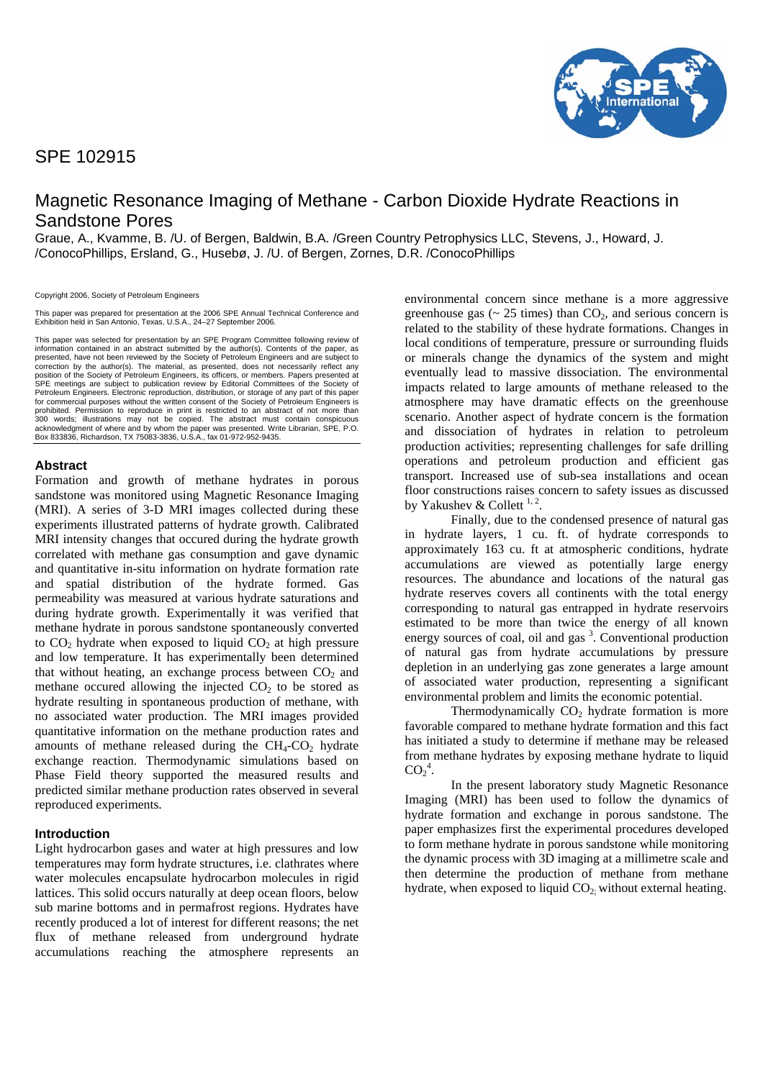# SPE 102915



# Magnetic Resonance Imaging of Methane - Carbon Dioxide Hydrate Reactions in Sandstone Pores

Graue, A., Kvamme, B. /U. of Bergen, Baldwin, B.A. /Green Country Petrophysics LLC, Stevens, J., Howard, J. /ConocoPhillips, Ersland, G., Husebø, J. /U. of Bergen, Zornes, D.R. /ConocoPhillips

Copyright 2006, Society of Petroleum Engineers

This paper was prepared for presentation at the 2006 SPE Annual Technical Conference and Exhibition held in San Antonio, Texas, U.S.A., 24–27 September 2006.

This paper was selected for presentation by an SPE Program Committee following review of information contained in an abstract submitted by the author(s). Contents of the paper, as presented, have not been reviewed by the Society of Petroleum Engineers and are subject to<br>correction by the author(s). The material, as presented, does not necessarily reflect any<br>position of the Society of Petroleum Engi SPE meetings are subject to publication review by Editorial Committees of the Society of Petroleum Engineers. Electronic reproduction, distribution, or storage of any part of this paper for commercial purposes without the acknowledgment of where and by whom the paper was presented. Write Librarian, SPE, P.O. Box 833836, Richardson, TX 75083-3836, U.S.A., fax 01-972-952-9435.

# **Abstract**

Formation and growth of methane hydrates in porous sandstone was monitored using Magnetic Resonance Imaging (MRI). A series of 3-D MRI images collected during these experiments illustrated patterns of hydrate growth. Calibrated MRI intensity changes that occured during the hydrate growth correlated with methane gas consumption and gave dynamic and quantitative in-situ information on hydrate formation rate and spatial distribution of the hydrate formed. Gas permeability was measured at various hydrate saturations and during hydrate growth. Experimentally it was verified that methane hydrate in porous sandstone spontaneously converted to  $CO<sub>2</sub>$  hydrate when exposed to liquid  $CO<sub>2</sub>$  at high pressure and low temperature. It has experimentally been determined that without heating, an exchange process between  $CO<sub>2</sub>$  and methane occured allowing the injected  $CO<sub>2</sub>$  to be stored as hydrate resulting in spontaneous production of methane, with no associated water production. The MRI images provided quantitative information on the methane production rates and amounts of methane released during the  $CH_4$ - $CO_2$  hydrate exchange reaction. Thermodynamic simulations based on Phase Field theory supported the measured results and predicted similar methane production rates observed in several reproduced experiments.

# **Introduction**

Light hydrocarbon gases and water at high pressures and low temperatures may form hydrate structures, i.e. clathrates where water molecules encapsulate hydrocarbon molecules in rigid lattices. This solid occurs naturally at deep ocean floors, below sub marine bottoms and in permafrost regions. Hydrates have recently produced a lot of interest for different reasons; the net flux of methane released from underground hydrate accumulations reaching the atmosphere represents an environmental concern since methane is a more aggressive greenhouse gas ( $\sim$  25 times) than  $CO<sub>2</sub>$ , and serious concern is related to the stability of these hydrate formations. Changes in local conditions of temperature, pressure or surrounding fluids or minerals change the dynamics of the system and might eventually lead to massive dissociation. The environmental impacts related to large amounts of methane released to the atmosphere may have dramatic effects on the greenhouse scenario. Another aspect of hydrate concern is the formation and dissociation of hydrates in relation to petroleum production activities; representing challenges for safe drilling operations and petroleum production and efficient gas transport. Increased use of sub-sea installations and ocean floor constructions raises concern to safety issues as discussed by Yakushev & Collett<sup>1,2</sup>.

Finally, due to the condensed presence of natural gas in hydrate layers, 1 cu. ft. of hydrate corresponds to approximately 163 cu. ft at atmospheric conditions, hydrate accumulations are viewed as potentially large energy resources. The abundance and locations of the natural gas hydrate reserves covers all continents with the total energy corresponding to natural gas entrapped in hydrate reservoirs estimated to be more than twice the energy of all known energy sources of coal, oil and gas  $3$ . Conventional production of natural gas from hydrate accumulations by pressure depletion in an underlying gas zone generates a large amount of associated water production, representing a significant environmental problem and limits the economic potential.

Thermodynamically  $CO<sub>2</sub>$  hydrate formation is more favorable compared to methane hydrate formation and this fact has initiated a study to determine if methane may be released from methane hydrates by exposing methane hydrate to liquid  $CO<sub>2</sub><sup>4</sup>$ .

In the present laboratory study Magnetic Resonance Imaging (MRI) has been used to follow the dynamics of hydrate formation and exchange in porous sandstone. The paper emphasizes first the experimental procedures developed to form methane hydrate in porous sandstone while monitoring the dynamic process with 3D imaging at a millimetre scale and then determine the production of methane from methane hydrate, when exposed to liquid  $CO<sub>2</sub>$ ; without external heating.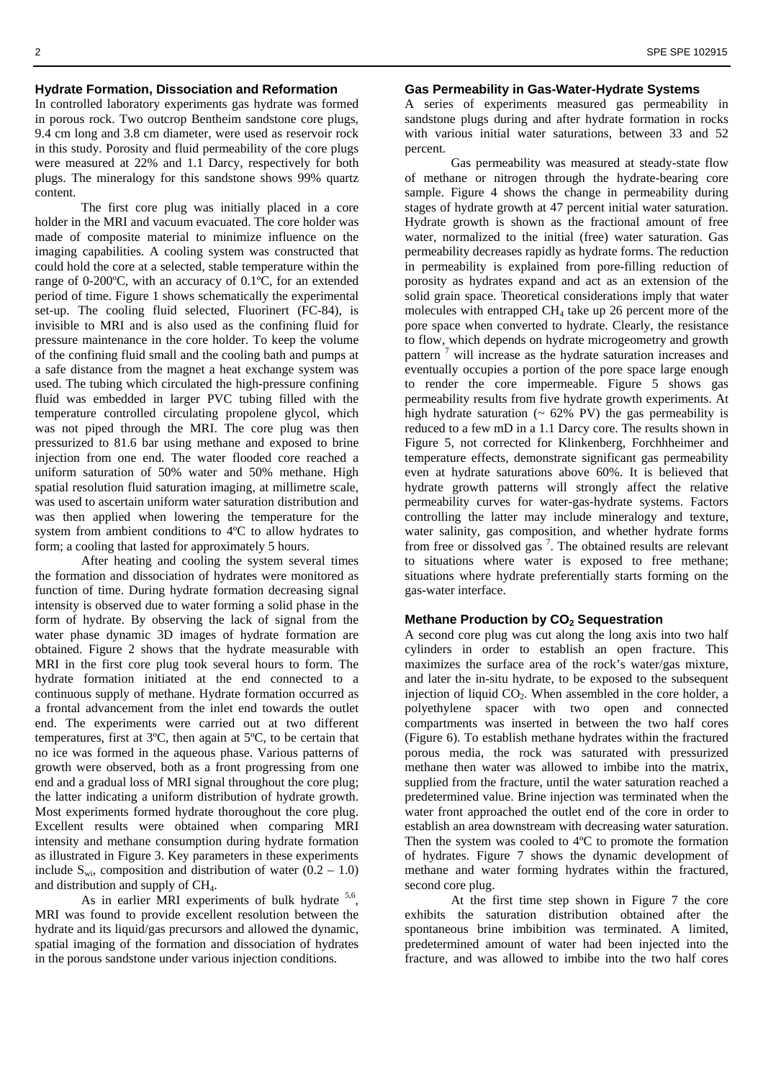# **Hydrate Formation, Dissociation and Reformation**

In controlled laboratory experiments gas hydrate was formed in porous rock. Two outcrop Bentheim sandstone core plugs, 9.4 cm long and 3.8 cm diameter, were used as reservoir rock in this study. Porosity and fluid permeability of the core plugs were measured at 22% and 1.1 Darcy, respectively for both plugs. The mineralogy for this sandstone shows 99% quartz content.

The first core plug was initially placed in a core holder in the MRI and vacuum evacuated. The core holder was made of composite material to minimize influence on the imaging capabilities. A cooling system was constructed that could hold the core at a selected, stable temperature within the range of 0-200ºC, with an accuracy of 0.1ºC, for an extended period of time. Figure 1 shows schematically the experimental set-up. The cooling fluid selected, Fluorinert (FC-84), is invisible to MRI and is also used as the confining fluid for pressure maintenance in the core holder. To keep the volume of the confining fluid small and the cooling bath and pumps at a safe distance from the magnet a heat exchange system was used. The tubing which circulated the high-pressure confining fluid was embedded in larger PVC tubing filled with the temperature controlled circulating propolene glycol, which was not piped through the MRI. The core plug was then pressurized to 81.6 bar using methane and exposed to brine injection from one end. The water flooded core reached a uniform saturation of 50% water and 50% methane. High spatial resolution fluid saturation imaging, at millimetre scale, was used to ascertain uniform water saturation distribution and was then applied when lowering the temperature for the system from ambient conditions to 4ºC to allow hydrates to form; a cooling that lasted for approximately 5 hours.

After heating and cooling the system several times the formation and dissociation of hydrates were monitored as function of time. During hydrate formation decreasing signal intensity is observed due to water forming a solid phase in the form of hydrate. By observing the lack of signal from the water phase dynamic 3D images of hydrate formation are obtained. Figure 2 shows that the hydrate measurable with MRI in the first core plug took several hours to form. The hydrate formation initiated at the end connected to a continuous supply of methane. Hydrate formation occurred as a frontal advancement from the inlet end towards the outlet end. The experiments were carried out at two different temperatures, first at 3ºC, then again at 5ºC, to be certain that no ice was formed in the aqueous phase. Various patterns of growth were observed, both as a front progressing from one end and a gradual loss of MRI signal throughout the core plug; the latter indicating a uniform distribution of hydrate growth. Most experiments formed hydrate thoroughout the core plug. Excellent results were obtained when comparing MRI intensity and methane consumption during hydrate formation as illustrated in Figure 3. Key parameters in these experiments include  $S_{wi}$ , composition and distribution of water  $(0.2 - 1.0)$ and distribution and supply of CH4.

As in earlier MRI experiments of bulk hydrate <sup>5,6</sup>, MRI was found to provide excellent resolution between the hydrate and its liquid/gas precursors and allowed the dynamic, spatial imaging of the formation and dissociation of hydrates in the porous sandstone under various injection conditions.

**Gas Permeability in Gas-Water-Hydrate Systems**  A series of experiments measured gas permeability in sandstone plugs during and after hydrate formation in rocks with various initial water saturations, between 33 and 52 percent.

Gas permeability was measured at steady-state flow of methane or nitrogen through the hydrate-bearing core sample. Figure 4 shows the change in permeability during stages of hydrate growth at 47 percent initial water saturation. Hydrate growth is shown as the fractional amount of free water, normalized to the initial (free) water saturation. Gas permeability decreases rapidly as hydrate forms. The reduction in permeability is explained from pore-filling reduction of porosity as hydrates expand and act as an extension of the solid grain space. Theoretical considerations imply that water molecules with entrapped CH4 take up 26 percent more of the pore space when converted to hydrate. Clearly, the resistance to flow, which depends on hydrate microgeometry and growth pattern<sup>7</sup> will increase as the hydrate saturation increases and eventually occupies a portion of the pore space large enough to render the core impermeable. Figure 5 shows gas permeability results from five hydrate growth experiments. At high hydrate saturation  $($   $\sim$  62% PV) the gas permeability is reduced to a few mD in a 1.1 Darcy core. The results shown in Figure 5, not corrected for Klinkenberg, Forchhheimer and temperature effects, demonstrate significant gas permeability even at hydrate saturations above 60%. It is believed that hydrate growth patterns will strongly affect the relative permeability curves for water-gas-hydrate systems. Factors controlling the latter may include mineralogy and texture, water salinity, gas composition, and whether hydrate forms from free or dissolved gas  $<sup>7</sup>$ . The obtained results are relevant</sup> to situations where water is exposed to free methane; situations where hydrate preferentially starts forming on the gas-water interface.

### **Methane Production by CO<sub>2</sub> Sequestration**

A second core plug was cut along the long axis into two half cylinders in order to establish an open fracture. This maximizes the surface area of the rock's water/gas mixture, and later the in-situ hydrate, to be exposed to the subsequent injection of liquid  $CO<sub>2</sub>$ . When assembled in the core holder, a polyethylene spacer with two open and connected compartments was inserted in between the two half cores (Figure 6). To establish methane hydrates within the fractured porous media, the rock was saturated with pressurized methane then water was allowed to imbibe into the matrix, supplied from the fracture, until the water saturation reached a predetermined value. Brine injection was terminated when the water front approached the outlet end of the core in order to establish an area downstream with decreasing water saturation. Then the system was cooled to 4ºC to promote the formation of hydrates. Figure 7 shows the dynamic development of methane and water forming hydrates within the fractured, second core plug.

At the first time step shown in Figure 7 the core exhibits the saturation distribution obtained after the spontaneous brine imbibition was terminated. A limited, predetermined amount of water had been injected into the fracture, and was allowed to imbibe into the two half cores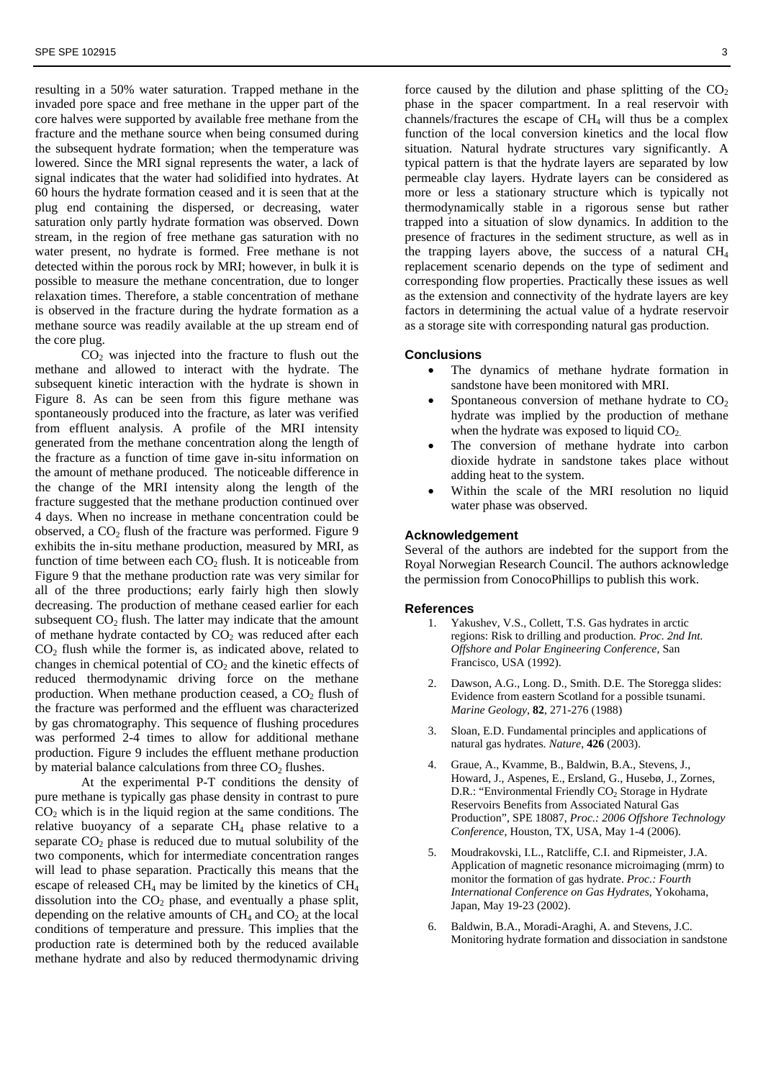resulting in a 50% water saturation. Trapped methane in the invaded pore space and free methane in the upper part of the core halves were supported by available free methane from the fracture and the methane source when being consumed during the subsequent hydrate formation; when the temperature was lowered. Since the MRI signal represents the water, a lack of signal indicates that the water had solidified into hydrates. At 60 hours the hydrate formation ceased and it is seen that at the plug end containing the dispersed, or decreasing, water saturation only partly hydrate formation was observed. Down stream, in the region of free methane gas saturation with no water present, no hydrate is formed. Free methane is not detected within the porous rock by MRI; however, in bulk it is possible to measure the methane concentration, due to longer relaxation times. Therefore, a stable concentration of methane is observed in the fracture during the hydrate formation as a methane source was readily available at the up stream end of the core plug.

 $CO<sub>2</sub>$  was injected into the fracture to flush out the methane and allowed to interact with the hydrate. The subsequent kinetic interaction with the hydrate is shown in Figure 8. As can be seen from this figure methane was spontaneously produced into the fracture, as later was verified from effluent analysis. A profile of the MRI intensity generated from the methane concentration along the length of the fracture as a function of time gave in-situ information on the amount of methane produced. The noticeable difference in the change of the MRI intensity along the length of the fracture suggested that the methane production continued over 4 days. When no increase in methane concentration could be observed, a  $CO<sub>2</sub>$  flush of the fracture was performed. Figure 9 exhibits the in-situ methane production, measured by MRI, as function of time between each  $CO<sub>2</sub>$  flush. It is noticeable from Figure 9 that the methane production rate was very similar for all of the three productions; early fairly high then slowly decreasing. The production of methane ceased earlier for each subsequent  $CO<sub>2</sub>$  flush. The latter may indicate that the amount of methane hydrate contacted by  $CO<sub>2</sub>$  was reduced after each  $CO<sub>2</sub>$  flush while the former is, as indicated above, related to changes in chemical potential of  $CO<sub>2</sub>$  and the kinetic effects of reduced thermodynamic driving force on the methane production. When methane production ceased, a  $CO<sub>2</sub>$  flush of the fracture was performed and the effluent was characterized by gas chromatography. This sequence of flushing procedures was performed 2-4 times to allow for additional methane production. Figure 9 includes the effluent methane production by material balance calculations from three  $CO<sub>2</sub>$  flushes.

At the experimental P-T conditions the density of pure methane is typically gas phase density in contrast to pure  $CO<sub>2</sub>$  which is in the liquid region at the same conditions. The relative buoyancy of a separate  $CH<sub>4</sub>$  phase relative to a separate  $CO<sub>2</sub>$  phase is reduced due to mutual solubility of the two components, which for intermediate concentration ranges will lead to phase separation. Practically this means that the escape of released CH4 may be limited by the kinetics of CH4 dissolution into the  $CO<sub>2</sub>$  phase, and eventually a phase split, depending on the relative amounts of  $CH_4$  and  $CO_2$  at the local conditions of temperature and pressure. This implies that the production rate is determined both by the reduced available methane hydrate and also by reduced thermodynamic driving force caused by the dilution and phase splitting of the  $CO<sub>2</sub>$ phase in the spacer compartment. In a real reservoir with channels/fractures the escape of CH4 will thus be a complex function of the local conversion kinetics and the local flow situation. Natural hydrate structures vary significantly. A typical pattern is that the hydrate layers are separated by low permeable clay layers. Hydrate layers can be considered as more or less a stationary structure which is typically not thermodynamically stable in a rigorous sense but rather trapped into a situation of slow dynamics. In addition to the presence of fractures in the sediment structure, as well as in the trapping layers above, the success of a natural  $CH<sub>4</sub>$ replacement scenario depends on the type of sediment and corresponding flow properties. Practically these issues as well as the extension and connectivity of the hydrate layers are key factors in determining the actual value of a hydrate reservoir as a storage site with corresponding natural gas production.

### **Conclusions**

- The dynamics of methane hydrate formation in sandstone have been monitored with MRI.
- Spontaneous conversion of methane hydrate to  $CO<sub>2</sub>$ hydrate was implied by the production of methane when the hydrate was exposed to liquid  $CO<sub>2</sub>$ .
- The conversion of methane hydrate into carbon dioxide hydrate in sandstone takes place without adding heat to the system.
- Within the scale of the MRI resolution no liquid water phase was observed.

### **Acknowledgement**

Several of the authors are indebted for the support from the Royal Norwegian Research Council. The authors acknowledge the permission from ConocoPhillips to publish this work.

### **References**

- 1. Yakushev, V.S., Collett, T.S. Gas hydrates in arctic regions: Risk to drilling and production. *Proc. 2nd Int. Offshore and Polar Engineering Conference*, San Francisco, USA (1992).
- 2. Dawson, A.G., Long. D., Smith. D.E. The Storegga slides: Evidence from eastern Scotland for a possible tsunami. *Marine Geology*, **82**, 271-276 (1988)
- 3. Sloan, E.D. Fundamental principles and applications of natural gas hydrates. *Nature*, **426** (2003).
- 4. Graue, A., Kvamme, B., Baldwin, B.A., Stevens, J., Howard, J., Aspenes, E., Ersland, G., Husebø, J., Zornes, D.R.: "Environmental Friendly CO<sub>2</sub> Storage in Hydrate Reservoirs Benefits from Associated Natural Gas Production", SPE 18087, *Proc.: 2006 Offshore Technology Conference*, Houston, TX, USA, May 1-4 (2006).
- 5. Moudrakovski, I.L., Ratcliffe, C.I. and Ripmeister, J.A. Application of magnetic resonance microimaging (mrm) to monitor the formation of gas hydrate. *Proc.: Fourth International Conference on Gas Hydrates*, Yokohama, Japan, May 19-23 (2002).
- 6. Baldwin, B.A., Moradi-Araghi, A. and Stevens, J.C. Monitoring hydrate formation and dissociation in sandstone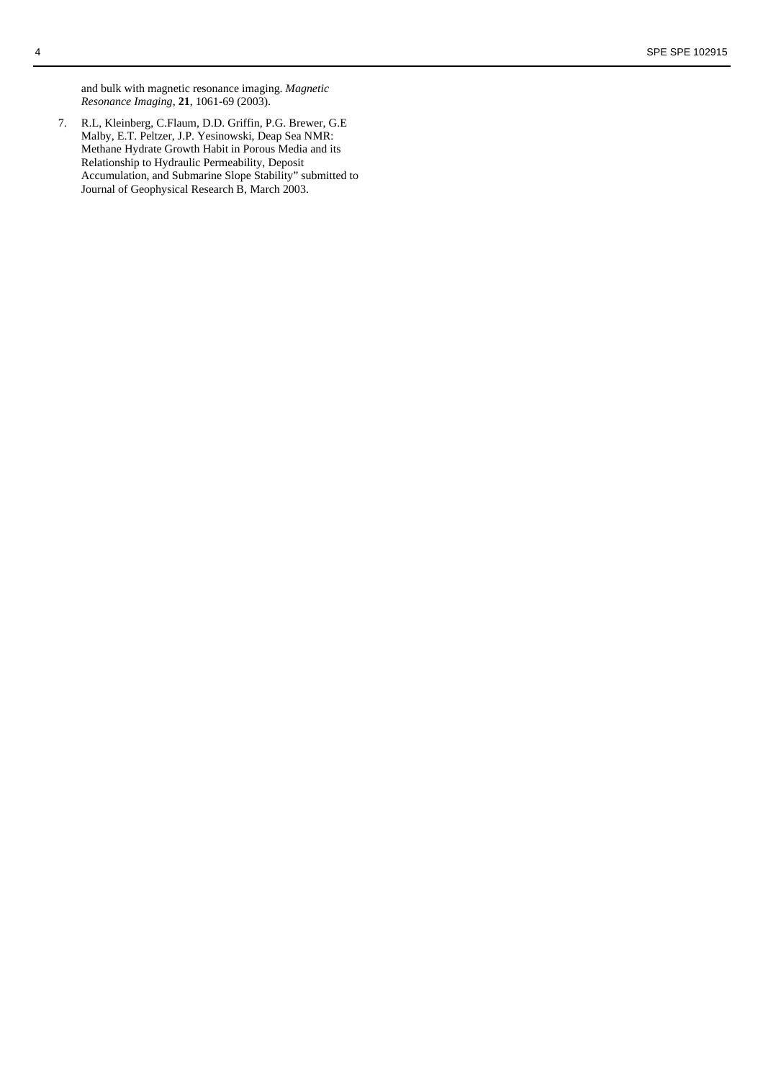and bulk with magnetic resonance imaging. *Magnetic Resonance Imaging*, **21**, 1061-69 (2003).

7. R.L, Kleinberg, C.Flaum, D.D. Griffin, P.G. Brewer, G.E Malby, E.T. Peltzer, J.P. Yesinowski, Deap Sea NMR: Methane Hydrate Growth Habit in Porous Media and its Relationship to Hydraulic Permeability, Deposit Accumulation, and Submarine Slope Stability" submitted to Journal of Geophysical Research B, March 2003.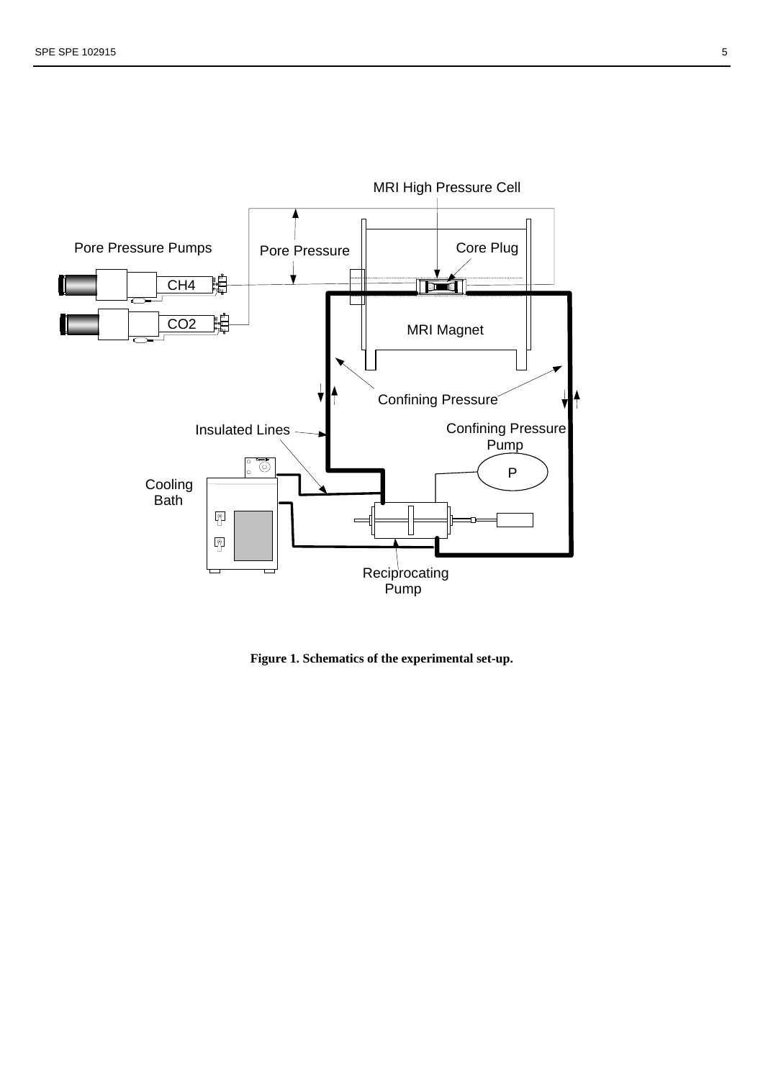

**Figure 1. Schematics of the experimental set-up.**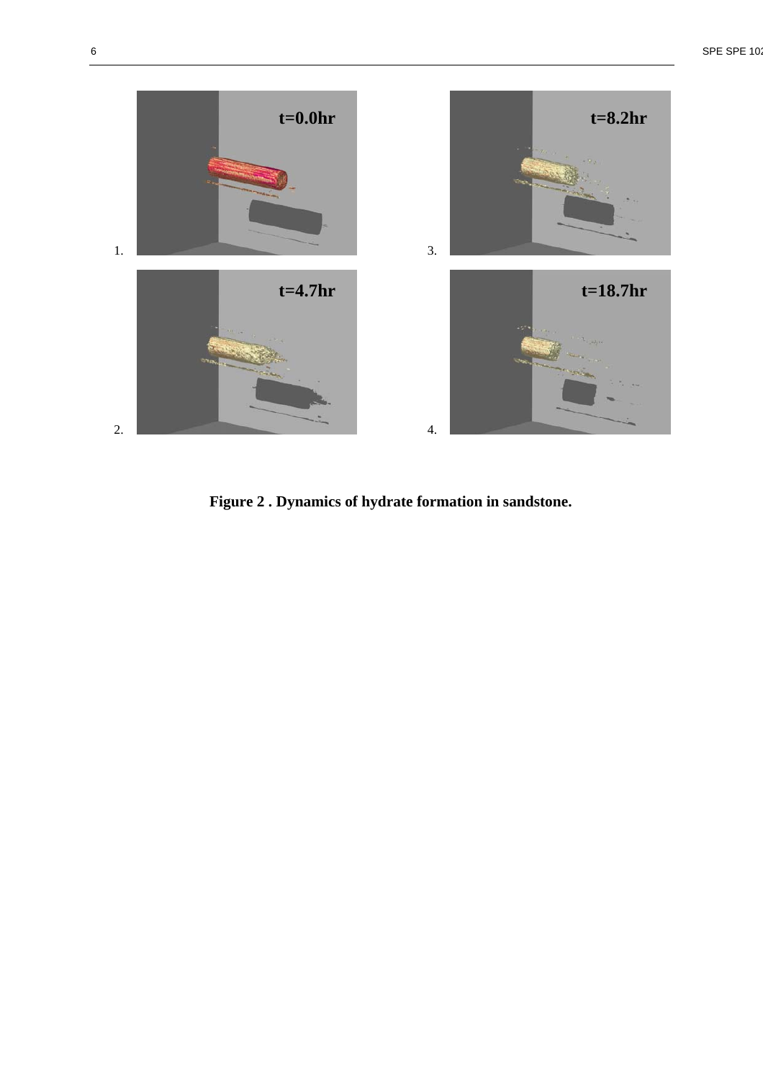

**Figure 2 . Dynamics of hydrate formation in sandstone.**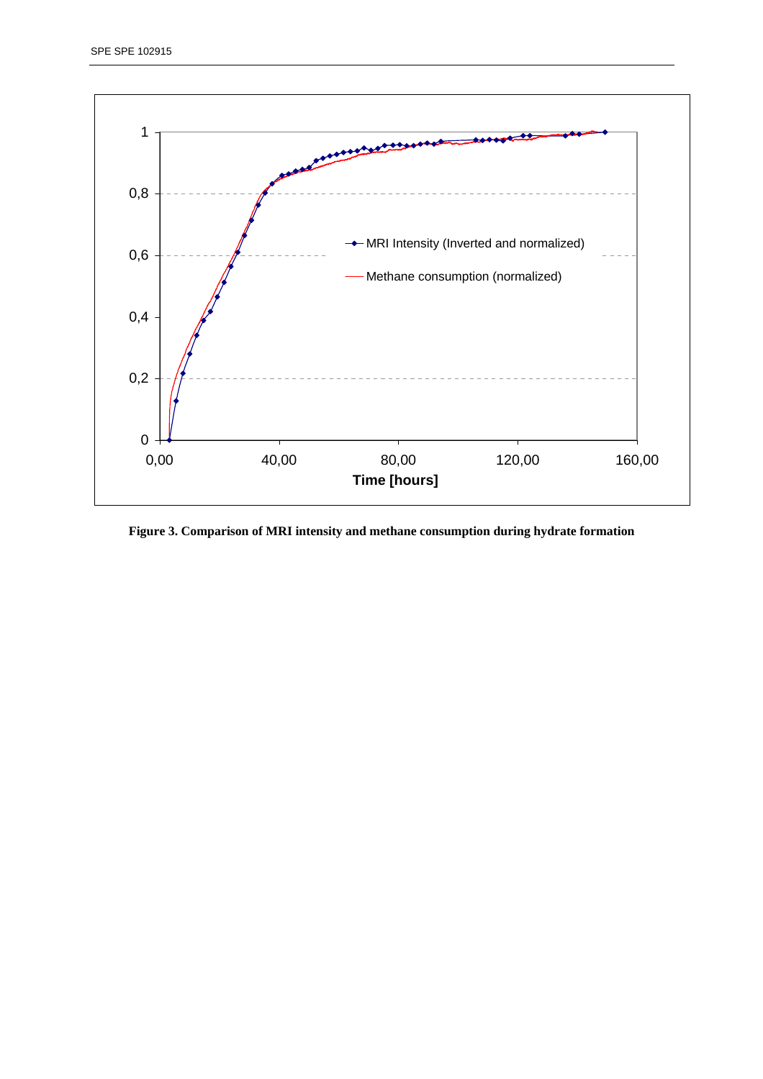

**Figure 3. Comparison of MRI intensity and methane consumption during hydrate formation**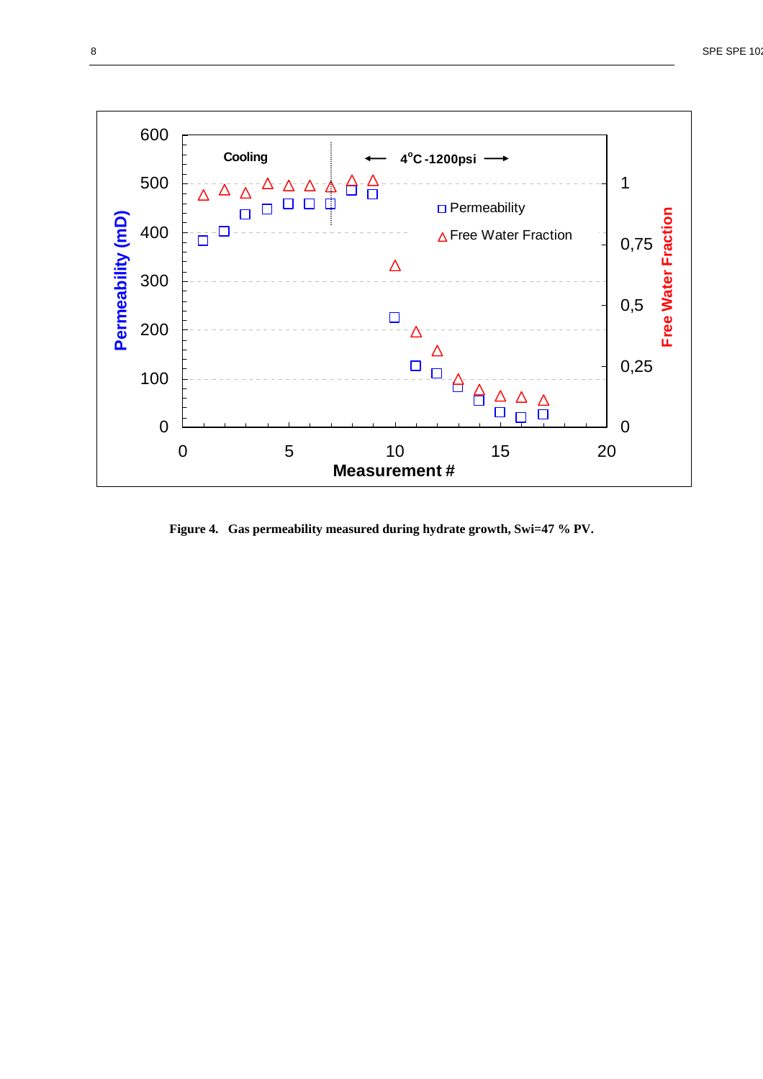

**Figure 4. Gas permeability measured during hydrate growth, Swi=47 % PV.**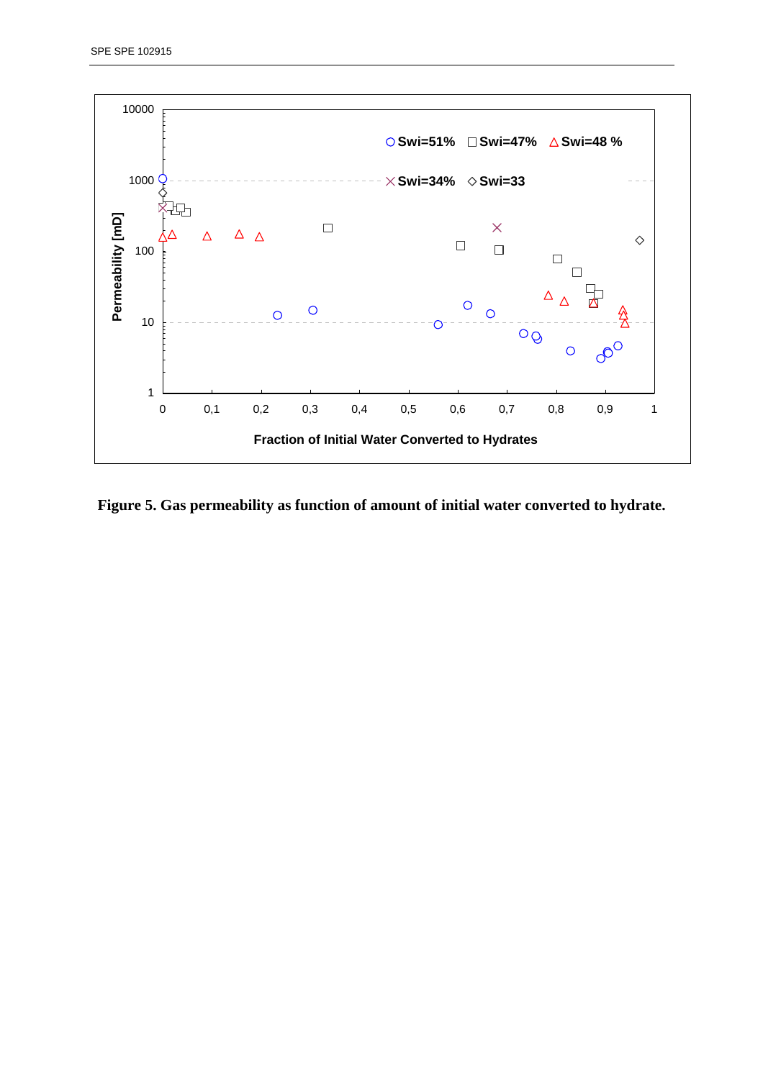

**Figure 5. Gas permeability as function of amount of initial water converted to hydrate.**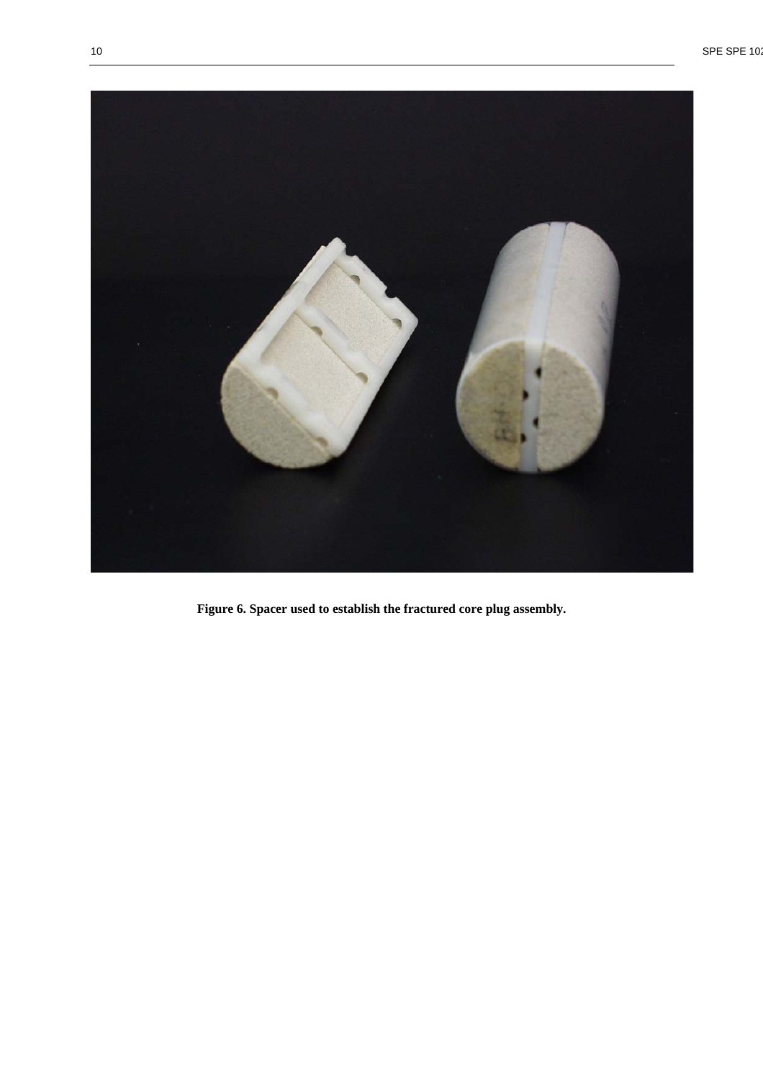

**Figure 6. Spacer used to establish the fractured core plug assembly.**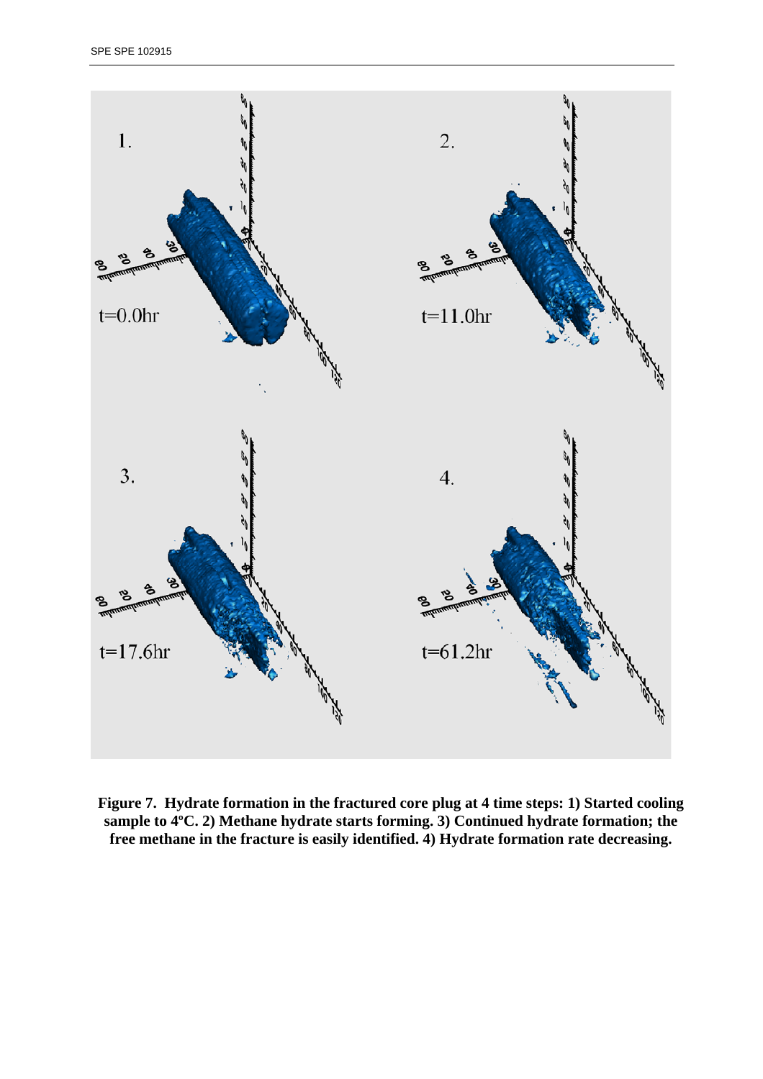

**Figure 7. Hydrate formation in the fractured core plug at 4 time steps: 1) Started cooling sample to 4ºC. 2) Methane hydrate starts forming. 3) Continued hydrate formation; the free methane in the fracture is easily identified. 4) Hydrate formation rate decreasing.**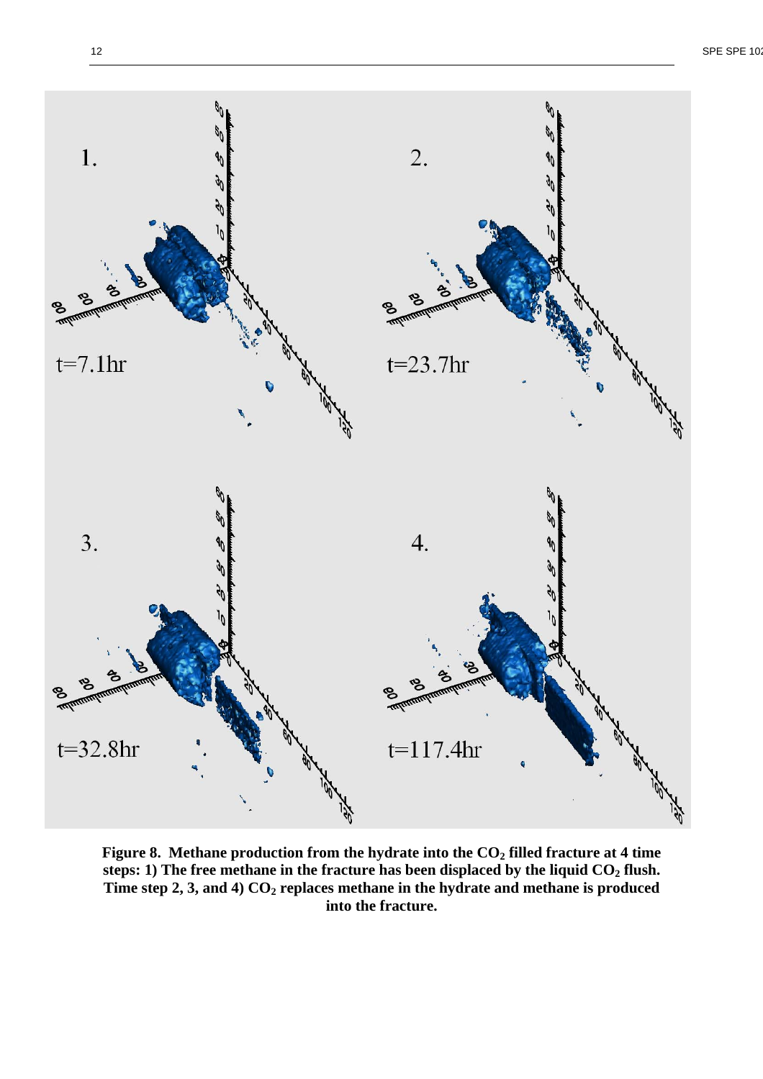

Figure 8. Methane production from the hydrate into the CO<sub>2</sub> filled fracture at 4 time steps: 1) The free methane in the fracture has been displaced by the liquid CO<sub>2</sub> flush. Time step 2, 3, and 4)  $CO<sub>2</sub>$  replaces methane in the hydrate and methane is produced **into the fracture.**